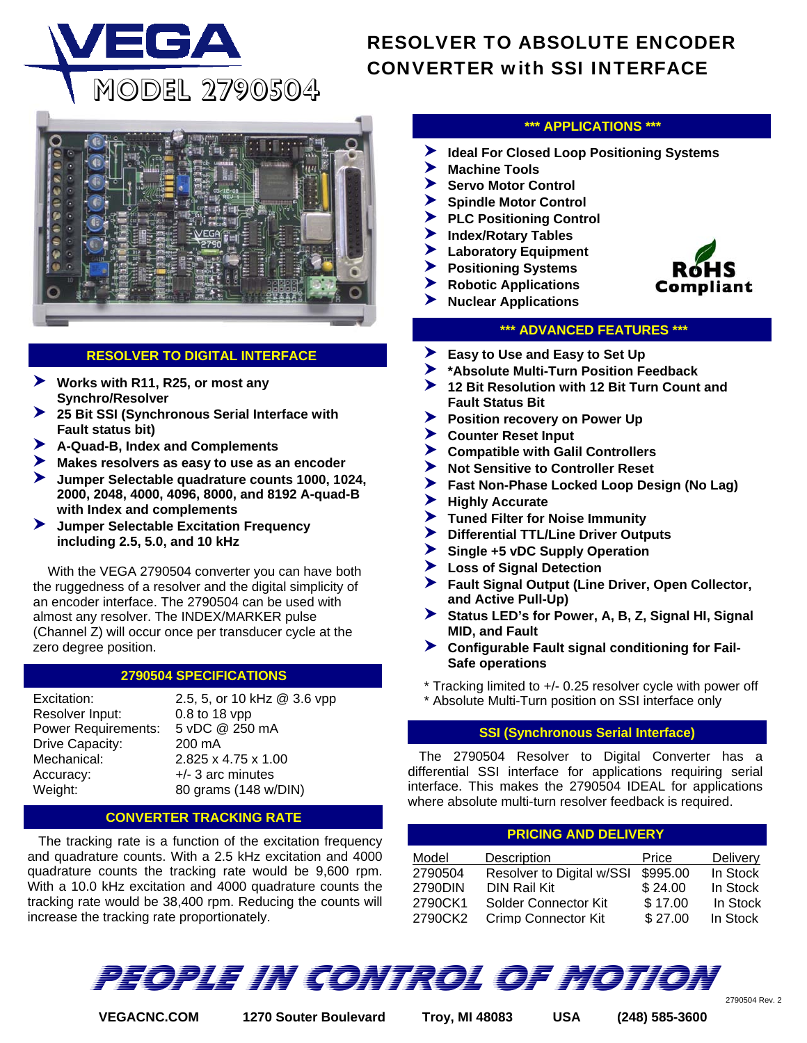

# RESOLVER TO ABSOLUTE ENCODER CONVERTER with SSI INTERFACE



# **RESOLVER TO DIGITAL INTERFACE**

- 6**Works with R11, R25, or most any Synchro/Resolver**
- 6**25 Bit SSI (Synchronous Serial Interface with Fault status bit)**
- 6**A-Quad-B, Index and Complements**
- 6**Makes resolvers as easy to use as an encoder**
- VEGA 2779501 for Inductosyn Scale Applications **2000, 2048, 4000, 4096, 8000, and 8192 A-quad-B**  6**Jumper Selectable quadrature counts 1000, 1024, with Index and complements**
- 6**Jumper Selectable Excitation Frequency including 2.5, 5.0, and 10 kHz**

 With the VEGA 2790504 converter you can have both the ruggedness of a resolver and the digital simplicity of an encoder interface. The 2790504 can be used with almost any resolver. The INDEX/MARKER pulse (Channel Z) will occur once per transducer cycle at the zero degree position.

# **2790504 SPECIFICATIONS**

Resolver Input: 0.8 to 18 vpp Power Requirements: 5 vDC @ 250 mA Drive Capacity: 200 mA Mechanical: 2.825 x 4.75 x 1.00 Accuracy:  $+/- 3$  arc minutes

Excitation: 2.5, 5, or 10 kHz @ 3.6 vpp Weight: 80 grams (148 w/DIN)

### **CONVERTER TRACKING RATE**

 The tracking rate is a function of the excitation frequency and quadrature counts. With a 2.5 kHz excitation and 4000 quadrature counts the tracking rate would be 9,600 rpm. With a 10.0 kHz excitation and 4000 quadrature counts the tracking rate would be 38,400 rpm. Reducing the counts will increase the tracking rate proportionately.

## **\*\*\* APPLICATIONS \*\*\***

- 6**Ideal For Closed Loop Positioning Systems**
- 6**Machine Tools**
- 6**Servo Motor Control**
- 6**Spindle Motor Control**
- 6**PLC Positioning Control**
- 6**Index/Rotary Tables**
- 6**Laboratory Equipment**
- 6**Positioning Systems**
- 6**Robotic Applications**
- 6**Nuclear Applications**



## **\*\*\* ADVANCED FEATURES \*\*\***

- 6**Easy to Use and Easy to Set Up**
- 6**\*Absolute Multi-Turn Position Feedback**
- 6**12 Bit Resolution with 12 Bit Turn Count and Fault Status Bit**
- **Position recovery on Power Up**
- 6**Counter Reset Input**
- 6**Compatible with Galil Controllers**
- 6**Not Sensitive to Controller Reset**
- 6**Fast Non-Phase Locked Loop Design (No Lag)**
- 6**Highly Accurate**
- 6**Tuned Filter for Noise Immunity**
- 6**Differential TTL/Line Driver Outputs**
- 6**Single +5 vDC Supply Operation**
- 6**Loss of Signal Detection**
- 6**Fault Signal Output (Line Driver, Open Collector, and Active Pull-Up)**
- 6**Status LED's for Power, A, B, Z, Signal HI, Signal MID, and Fault**
- **EXECUTE:** Configurable Fault signal conditioning for Fail-**Safe operations**
- \* Tracking limited to +/- 0.25 resolver cycle with power off
- \* Absolute Multi-Turn position on SSI interface only

## **SSI (Synchronous Serial Interface)**

 The 2790504 Resolver to Digital Converter has a differential SSI interface for applications requiring serial interface. This makes the 2790504 IDEAL for applications where absolute multi-turn resolver feedback is required.

| <b>PRICING AND DELIVERY</b> |                            |          |          |  |  |  |  |
|-----------------------------|----------------------------|----------|----------|--|--|--|--|
| Model                       | Description                | Price    | Delivery |  |  |  |  |
| 2790504                     | Resolver to Digital w/SSI  | \$995.00 | In Stock |  |  |  |  |
| 2790DIN                     | <b>DIN Rail Kit</b>        | \$24.00  | In Stock |  |  |  |  |
| 2790CK1                     | Solder Connector Kit       | \$17.00  | In Stock |  |  |  |  |
| 2790CK2                     | <b>Crimp Connector Kit</b> | \$27.00  | In Stock |  |  |  |  |

PEOPLE IN CONTROL OF MOTION

**VEGACNC.COM 1270 Souter Boulevard Troy, MI 48083 USA (248) 585-3600** 

<sup>2790504</sup> Rev. 2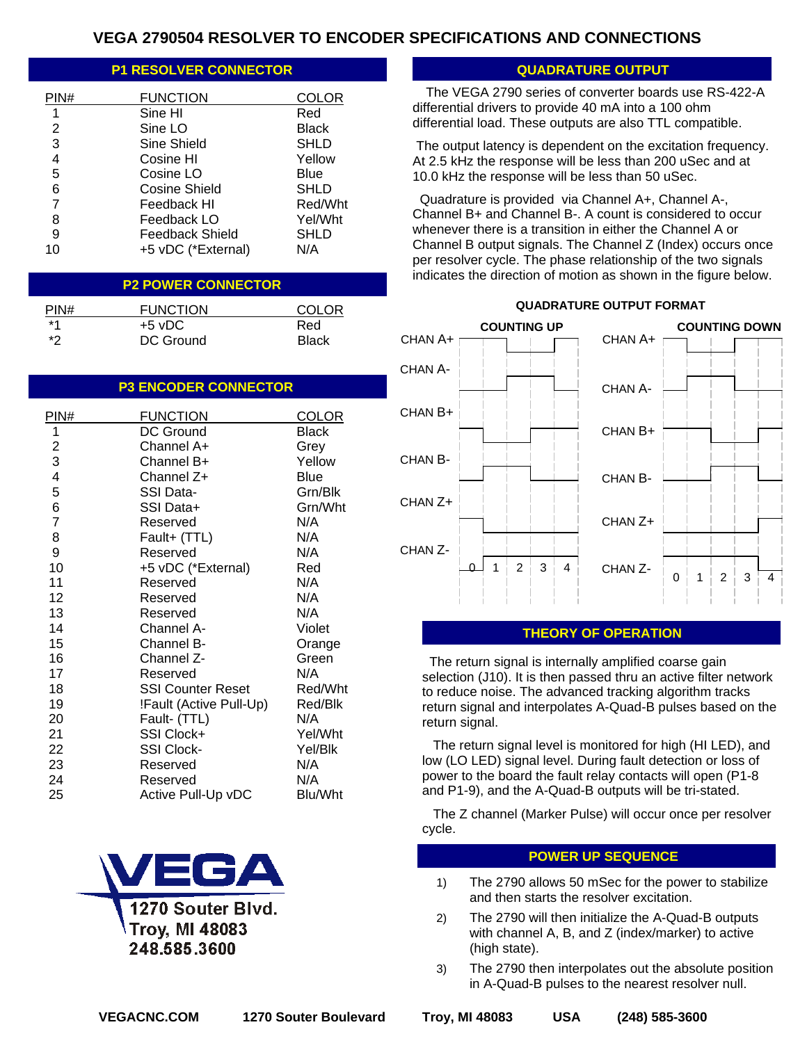# **VEGA 2790504 RESOLVER TO ENCODER SPECIFICATIONS AND CONNECTIONS**

# **P1 RESOLVER CONNECTOR CONNECTOR CONNECTIVE CONNECTIVE CONNECTIVE CONNECTIVE CONNECTIVE CONNECTIVE CONNECTIVE CONNECTIVE CONNECTIVE CONNECTIVE CONNECTIVE CONNECTIVE CONNECTIVE CONNECTIVE CONNECTIVE CONNECTIVE CONNECTIVE CO**

| PIN# | <b>FUNCTION</b>    | COLOR        |
|------|--------------------|--------------|
| 1    | Sine HI            | Red          |
| 2    | Sine LO            | <b>Black</b> |
| 3    | Sine Shield        | <b>SHLD</b>  |
| 4    | Cosine HI          | Yellow       |
| 5    | Cosine LO          | Blue         |
| 6    | Cosine Shield      | SHLD         |
| 7    | Feedback HI        | Red/Wht      |
| 8    | Feedback LO        | Yel/Wht      |
| 9    | Feedback Shield    | SHLD         |
| 10   | +5 vDC (*External) | N/A          |

### **P2 POWER CONNECTOR**

| PIN# | <b>FUNCTION</b> | <b>COLOR</b> |
|------|-----------------|--------------|
| *1   | $+5$ vDC        | Red          |
| *?   | DC Ground       | <b>Black</b> |

#### **P3 ENCODER CONNECTOR**

| PIN#           | <b>FUNCTION</b>          | COLOR       |
|----------------|--------------------------|-------------|
| 1              | DC Ground                | Black       |
|                | Channel A+               | Grey        |
| $\frac{2}{3}$  | Channel B+               | Yellow      |
| 4              | Channel Z+               | <b>Blue</b> |
| 5              | SSI Data-                | Grn/Blk     |
| 6              | SSI Data+                | Grn/Wht     |
| $\overline{7}$ | Reserved                 | N/A         |
| 8              | Fault+ (TTL)             | N/A         |
| 9              | Reserved                 | N/A         |
| 10             | +5 vDC (*External)       | Red         |
| 11             | Reserved                 | N/A         |
| 12             | Reserved                 | N/A         |
| 13             | Reserved                 | N/A         |
| 14             | Channel A-               | Violet      |
| 15             | Channel B-               | Orange      |
| 16             | Channel Z-               | Green       |
| 17             | Reserved                 | N/A         |
| 18             | <b>SSI Counter Reset</b> | Red/Wht     |
| 19             | !Fault (Active Pull-Up)  | Red/Blk     |
| 20             | Fault- (TTL)             | N/A         |
| 21             | SSI Clock+               | Yel/Wht     |
| 22             | <b>SSI Clock-</b>        | Yel/Blk     |
| 23             | Reserved                 | N/A         |
| 24             | Reserved                 | N/A         |
| 25             | Active Pull-Up vDC       | Blu/Wht     |



The output latency is dependent on the excitation frequency.

At 2.5 kHz the response will be less than 200 uSec and at 10.0 kHz the response will be less than 50 uSec.

The VEGA 2790 series of converter boards use RS-422-A

differential drivers to provide 40 mA into a 100 ohm differential load. These outputs are also TTL compatible.

 Quadrature is provided via Channel A+, Channel A-, Channel B+ and Channel B-. A count is considered to occur whenever there is a transition in either the Channel A or Channel B output signals. The Channel Z (Index) occurs once per resolver cycle. The phase relationship of the two signals indicates the direction of motion as shown in the figure below.



## **QUADRATURE OUTPUT FORMAT**

#### **THEORY OF OPERATION**

 The return signal is internally amplified coarse gain selection (J10). It is then passed thru an active filter network to reduce noise. The advanced tracking algorithm tracks return signal and interpolates A-Quad-B pulses based on the return signal.

 The return signal level is monitored for high (HI LED), and low (LO LED) signal level. During fault detection or loss of power to the board the fault relay contacts will open (P1-8 and P1-9), and the A-Quad-B outputs will be tri-stated.

 The Z channel (Marker Pulse) will occur once per resolver cycle.

#### **POWER UP SEQUENCE**

- 1) The 2790 allows 50 mSec for the power to stabilize and then starts the resolver excitation.
- 2) The 2790 will then initialize the A-Quad-B outputs with channel A, B, and Z (index/marker) to active (high state).
- 3) The 2790 then interpolates out the absolute position in A-Quad-B pulses to the nearest resolver null.

**VEGACNC.COM 1270 Souter Boulevard Troy, MI 48083 USA (248) 585-3600**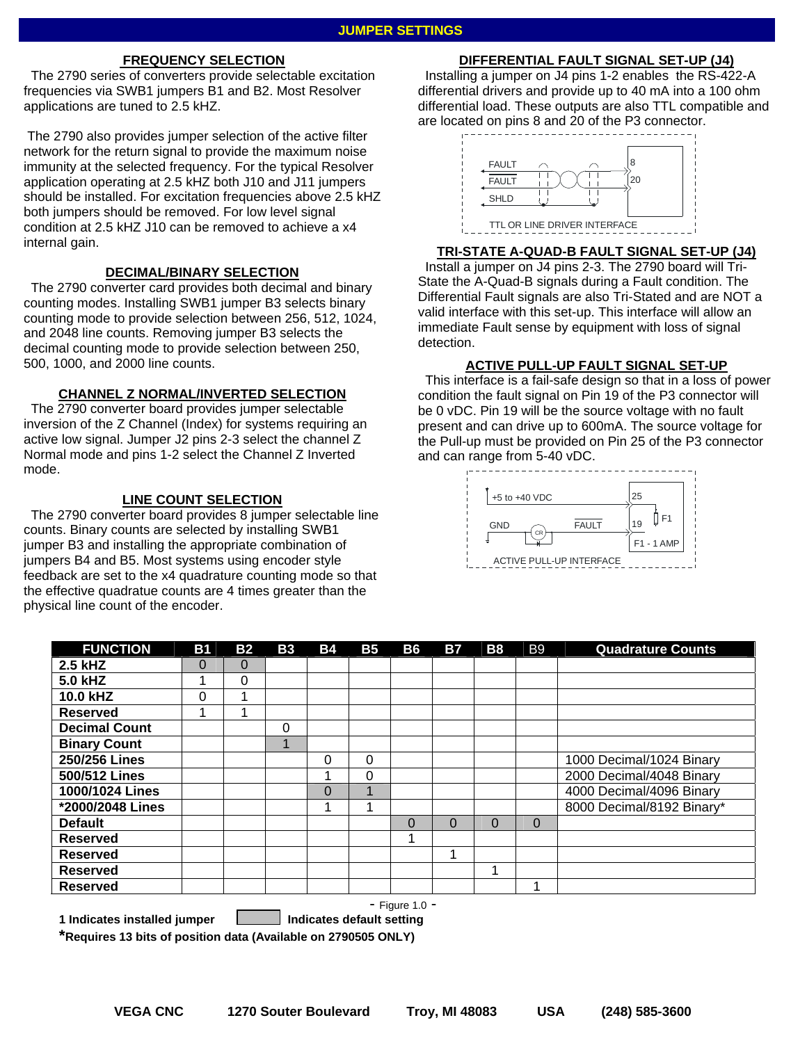## **FREQUENCY SELECTION**

 The 2790 series of converters provide selectable excitation frequencies via SWB1 jumpers B1 and B2. Most Resolver applications are tuned to 2.5 kHZ.

 The 2790 also provides jumper selection of the active filter network for the return signal to provide the maximum noise immunity at the selected frequency. For the typical Resolver application operating at 2.5 kHZ both J10 and J11 jumpers should be installed. For excitation frequencies above 2.5 kHZ both jumpers should be removed. For low level signal condition at 2.5 kHZ J10 can be removed to achieve a x4 internal gain.

#### **DECIMAL/BINARY SELECTION**

 The 2790 converter card provides both decimal and binary counting modes. Installing SWB1 jumper B3 selects binary counting mode to provide selection between 256, 512, 1024, and 2048 line counts. Removing jumper B3 selects the decimal counting mode to provide selection between 250, 500, 1000, and 2000 line counts.

#### **CHANNEL Z NORMAL/INVERTED SELECTION**

 The 2790 converter board provides jumper selectable inversion of the Z Channel (Index) for systems requiring an active low signal. Jumper J2 pins 2-3 select the channel Z Normal mode and pins 1-2 select the Channel Z Inverted mode.

#### **LINE COUNT SELECTION**

 The 2790 converter board provides 8 jumper selectable line counts. Binary counts are selected by installing SWB1 jumper B3 and installing the appropriate combination of jumpers B4 and B5. Most systems using encoder style feedback are set to the x4 quadrature counting mode so that the effective quadratue counts are 4 times greater than the physical line count of the encoder.

## **DIFFERENTIAL FAULT SIGNAL SET-UP (J4)**

 Installing a jumper on J4 pins 1-2 enables the RS-422-A differential drivers and provide up to 40 mA into a 100 ohm differential load. These outputs are also TTL compatible and are located on pins 8 and 20 of the P3 connector.



#### **TRI-STATE A-QUAD-B FAULT SIGNAL SET-UP (J4)**

 Install a jumper on J4 pins 2-3. The 2790 board will Tri-State the A-Quad-B signals during a Fault condition. The Differential Fault signals are also Tri-Stated and are NOT a valid interface with this set-up. This interface will allow an immediate Fault sense by equipment with loss of signal detection.

#### **ACTIVE PULL-UP FAULT SIGNAL SET-UP**

This interface is a fail-safe design so that in a loss of power condition the fault signal on Pin 19 of the P3 connector will be 0 vDC. Pin 19 will be the source voltage with no fault present and can drive up to 600mA. The source voltage for the Pull-up must be provided on Pin 25 of the P3 connector and can range from 5-40 vDC.



| <b>FUNCTION</b>      | <b>B1</b> | <b>B2</b> | <b>B3</b>      | <b>B4</b>      | <b>B5</b> | <b>B6</b> | <b>B7</b> | <b>B8</b> | <b>B9</b> | <b>Quadrature Counts</b>  |
|----------------------|-----------|-----------|----------------|----------------|-----------|-----------|-----------|-----------|-----------|---------------------------|
| 2.5 kHZ              | 0         | 0         |                |                |           |           |           |           |           |                           |
| 5.0 kHZ              |           | 0         |                |                |           |           |           |           |           |                           |
| 10.0 kHZ             | 0         | 4         |                |                |           |           |           |           |           |                           |
| <b>Reserved</b>      |           | 4         |                |                |           |           |           |           |           |                           |
| <b>Decimal Count</b> |           |           | 0              |                |           |           |           |           |           |                           |
| <b>Binary Count</b>  |           |           | $\overline{A}$ |                |           |           |           |           |           |                           |
| 250/256 Lines        |           |           |                | 0              | 0         |           |           |           |           | 1000 Decimal/1024 Binary  |
| 500/512 Lines        |           |           |                |                | 0         |           |           |           |           | 2000 Decimal/4048 Binary  |
| 1000/1024 Lines      |           |           |                | $\overline{0}$ |           |           |           |           |           | 4000 Decimal/4096 Binary  |
| *2000/2048 Lines     |           |           |                |                |           |           |           |           |           | 8000 Decimal/8192 Binary* |
| <b>Default</b>       |           |           |                |                |           | $\Omega$  | $\Omega$  | $\Omega$  | $\Omega$  |                           |
| <b>Reserved</b>      |           |           |                |                |           |           |           |           |           |                           |
| <b>Reserved</b>      |           |           |                |                |           |           | ۸         |           |           |                           |
| <b>Reserved</b>      |           |           |                |                |           |           |           |           |           |                           |
| <b>Reserved</b>      |           |           |                |                |           |           |           |           |           |                           |
| - Figure 1.0 -       |           |           |                |                |           |           |           |           |           |                           |

1 Indicates installed jumper **Indicates default setting** 

**\*Requires 13 bits of position data (Available on 2790505 ONLY)**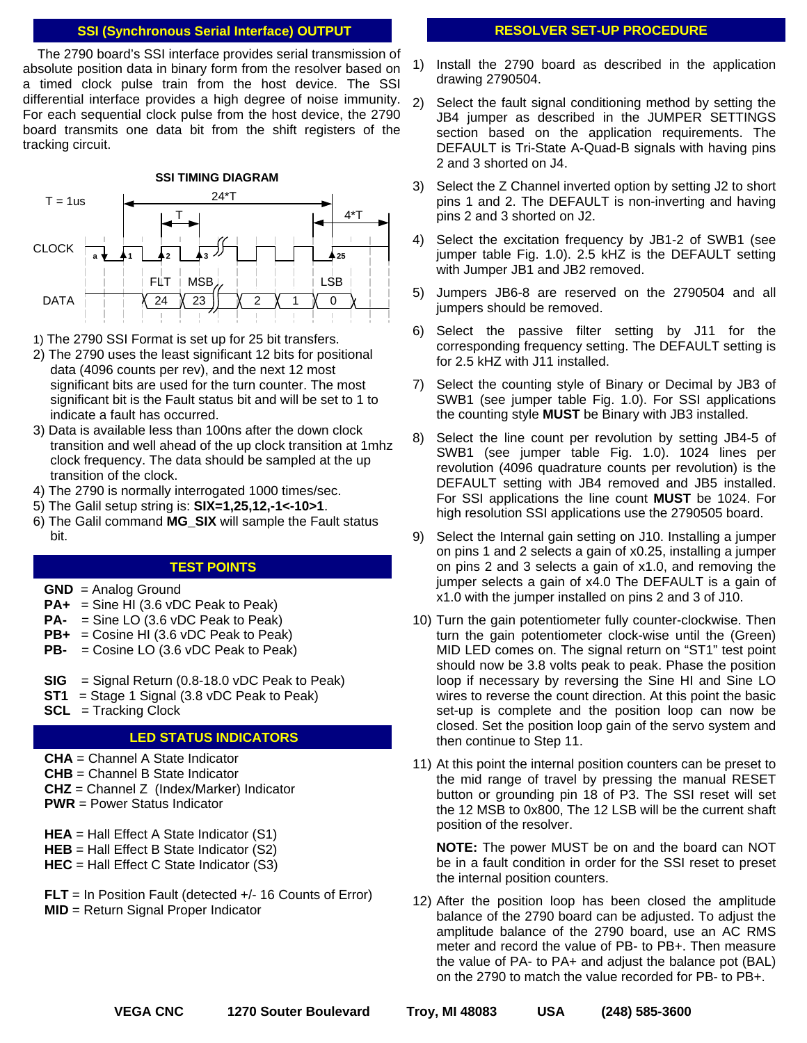#### **SSI (Synchronous Serial Interface) OUTPUT**

absolute position data in binary form from the resolver based on The 2790 board's SSI interface provides serial transmission of a timed clock pulse train from the host device. The SSI differential interface provides a high degree of noise immunity. For each sequential clock pulse from the host device, the 2790 board transmits one data bit from the shift registers of the tracking circuit.



1) The 2790 SSI Format is set up for 25 bit transfers.

- 2) The 2790 uses the least significant 12 bits for positional data (4096 counts per rev), and the next 12 most significant bits are used for the turn counter. The most significant bit is the Fault status bit and will be set to 1 to indicate a fault has occurred.
- 3) Data is available less than 100ns after the down clock transition and well ahead of the up clock transition at 1mhz clock frequency. The data should be sampled at the up transition of the clock.
- 4) The 2790 is normally interrogated 1000 times/sec.
- 5) The Galil setup string is: **SIX=1,25,12,-1<-10>1**.
- 6) The Galil command **MG\_SIX** will sample the Fault status bit.

# **TEST POINTS**

- **GND** = Analog Ground
- **PA+** = Sine HI (3.6 vDC Peak to Peak)
- **PA-** = Sine LO (3.6 vDC Peak to Peak)
- **PB+** = Cosine HI (3.6 vDC Peak to Peak)
- **PB-** = Cosine LO (3.6 vDC Peak to Peak)
- **SIG** = Signal Return (0.8-18.0 vDC Peak to Peak)
- **ST1** = Stage 1 Signal (3.8 vDC Peak to Peak)
- **SCL** = Tracking Clock

## **LED STATUS INDICATORS**

- **CHA** = Channel A State Indicator
- **CHB** = Channel B State Indicator
- **CHZ** = Channel Z (Index/Marker) Indicator
- **PWR** = Power Status Indicator
- **HEA** = Hall Effect A State Indicator (S1)
- **HEB** = Hall Effect B State Indicator (S2)
- **HEC** = Hall Effect C State Indicator (S3)
- **FLT** = In Position Fault (detected +/- 16 Counts of Error) **MID** = Return Signal Proper Indicator

## **RESOLVER SET-UP PROCEDURE**

- 1) Install the 2790 board as described in the application drawing 2790504.
- 2) Select the fault signal conditioning method by setting the JB4 jumper as described in the JUMPER SETTINGS section based on the application requirements. The DEFAULT is Tri-State A-Quad-B signals with having pins 2 and 3 shorted on J4.
- 3) Select the Z Channel inverted option by setting J2 to short pins 1 and 2. The DEFAULT is non-inverting and having pins 2 and 3 shorted on J2.
- 4) Select the excitation frequency by JB1-2 of SWB1 (see jumper table Fig. 1.0). 2.5 kHZ is the DEFAULT setting with Jumper JB1 and JB2 removed.
- 5) Jumpers JB6-8 are reserved on the 2790504 and all jumpers should be removed.
- 6) Select the passive filter setting by J11 for the corresponding frequency setting. The DEFAULT setting is for 2.5 kHZ with J11 installed.
- 7) Select the counting style of Binary or Decimal by JB3 of SWB1 (see jumper table Fig. 1.0). For SSI applications the counting style **MUST** be Binary with JB3 installed.
- 8) Select the line count per revolution by setting JB4-5 of SWB1 (see jumper table Fig. 1.0). 1024 lines per revolution (4096 quadrature counts per revolution) is the DEFAULT setting with JB4 removed and JB5 installed. For SSI applications the line count **MUST** be 1024. For high resolution SSI applications use the 2790505 board.
- 9) Select the Internal gain setting on J10. Installing a jumper on pins 1 and 2 selects a gain of x0.25, installing a jumper on pins 2 and 3 selects a gain of x1.0, and removing the jumper selects a gain of x4.0 The DEFAULT is a gain of x1.0 with the jumper installed on pins 2 and 3 of J10.
- 10) Turn the gain potentiometer fully counter-clockwise. Then turn the gain potentiometer clock-wise until the (Green) MID LED comes on. The signal return on "ST1" test point should now be 3.8 volts peak to peak. Phase the position loop if necessary by reversing the Sine HI and Sine LO wires to reverse the count direction. At this point the basic set-up is complete and the position loop can now be closed. Set the position loop gain of the servo system and then continue to Step 11.
- 11) At this point the internal position counters can be preset to the mid range of travel by pressing the manual RESET button or grounding pin 18 of P3. The SSI reset will set the 12 MSB to 0x800, The 12 LSB will be the current shaft position of the resolver.

**NOTE:** The power MUST be on and the board can NOT be in a fault condition in order for the SSI reset to preset the internal position counters.

12) After the position loop has been closed the amplitude balance of the 2790 board can be adjusted. To adjust the amplitude balance of the 2790 board, use an AC RMS meter and record the value of PB- to PB+. Then measure the value of PA- to PA+ and adjust the balance pot (BAL) on the 2790 to match the value recorded for PB- to PB+.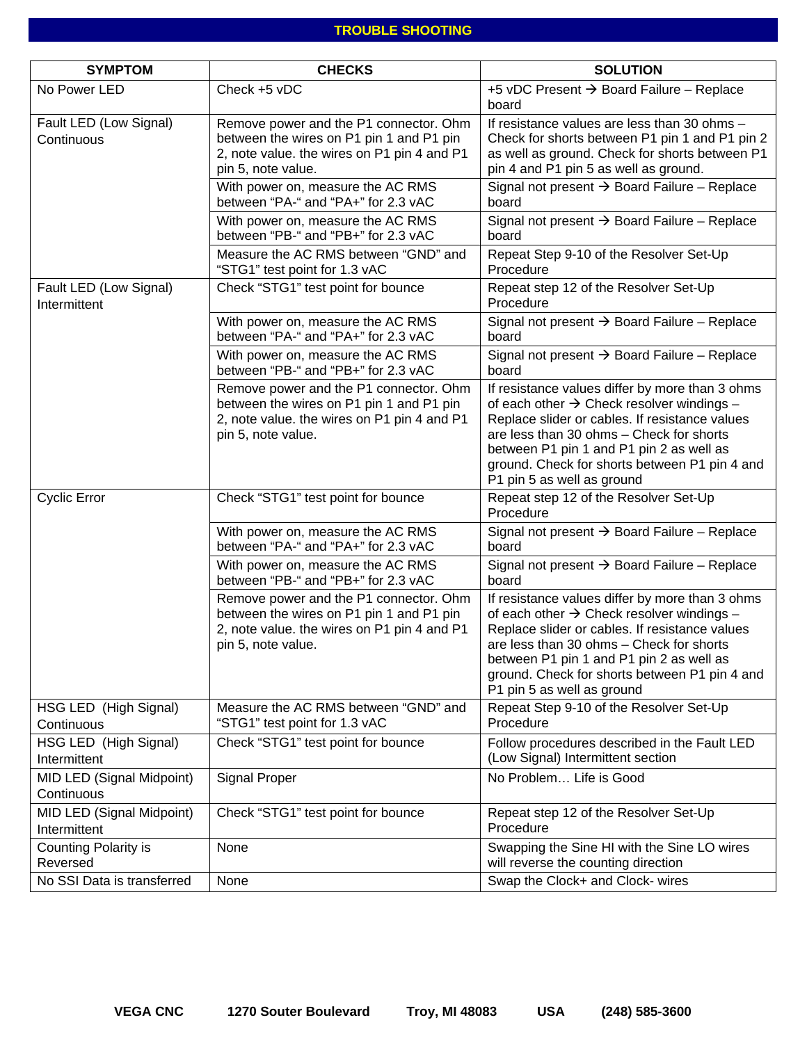# **TROUBLE SHOOTING**

| <b>SYMPTOM</b>                            | <b>CHECKS</b>                                                                                                                                           | <b>SOLUTION</b>                                                                                                                                                                                                                                                                                                                   |
|-------------------------------------------|---------------------------------------------------------------------------------------------------------------------------------------------------------|-----------------------------------------------------------------------------------------------------------------------------------------------------------------------------------------------------------------------------------------------------------------------------------------------------------------------------------|
| No Power LED                              | Check +5 vDC                                                                                                                                            | +5 vDC Present $\rightarrow$ Board Failure - Replace<br>board                                                                                                                                                                                                                                                                     |
| Fault LED (Low Signal)<br>Continuous      | Remove power and the P1 connector. Ohm<br>between the wires on P1 pin 1 and P1 pin<br>2, note value. the wires on P1 pin 4 and P1<br>pin 5, note value. | If resistance values are less than 30 ohms $-$<br>Check for shorts between P1 pin 1 and P1 pin 2<br>as well as ground. Check for shorts between P1<br>pin 4 and P1 pin 5 as well as ground.                                                                                                                                       |
|                                           | With power on, measure the AC RMS<br>between "PA-" and "PA+" for 2.3 vAC                                                                                | Signal not present $\rightarrow$ Board Failure - Replace<br>board                                                                                                                                                                                                                                                                 |
|                                           | With power on, measure the AC RMS<br>between "PB-" and "PB+" for 2.3 vAC                                                                                | Signal not present $\rightarrow$ Board Failure - Replace<br>board                                                                                                                                                                                                                                                                 |
|                                           | Measure the AC RMS between "GND" and<br>"STG1" test point for 1.3 vAC                                                                                   | Repeat Step 9-10 of the Resolver Set-Up<br>Procedure                                                                                                                                                                                                                                                                              |
| Fault LED (Low Signal)<br>Intermittent    | Check "STG1" test point for bounce                                                                                                                      | Repeat step 12 of the Resolver Set-Up<br>Procedure                                                                                                                                                                                                                                                                                |
|                                           | With power on, measure the AC RMS<br>between "PA-" and "PA+" for 2.3 vAC                                                                                | Signal not present → Board Failure - Replace<br>board                                                                                                                                                                                                                                                                             |
|                                           | With power on, measure the AC RMS<br>between "PB-" and "PB+" for 2.3 vAC                                                                                | Signal not present $\rightarrow$ Board Failure - Replace<br>board                                                                                                                                                                                                                                                                 |
|                                           | Remove power and the P1 connector. Ohm<br>between the wires on P1 pin 1 and P1 pin<br>2, note value. the wires on P1 pin 4 and P1<br>pin 5, note value. | If resistance values differ by more than 3 ohms<br>of each other $\rightarrow$ Check resolver windings -<br>Replace slider or cables. If resistance values<br>are less than 30 ohms - Check for shorts<br>between P1 pin 1 and P1 pin 2 as well as<br>ground. Check for shorts between P1 pin 4 and<br>P1 pin 5 as well as ground |
| <b>Cyclic Error</b>                       | Check "STG1" test point for bounce                                                                                                                      | Repeat step 12 of the Resolver Set-Up<br>Procedure                                                                                                                                                                                                                                                                                |
|                                           | With power on, measure the AC RMS<br>between "PA-" and "PA+" for 2.3 vAC                                                                                | Signal not present → Board Failure - Replace<br>board                                                                                                                                                                                                                                                                             |
|                                           | With power on, measure the AC RMS<br>between "PB-" and "PB+" for 2.3 vAC                                                                                | Signal not present $\rightarrow$ Board Failure - Replace<br>board                                                                                                                                                                                                                                                                 |
|                                           | Remove power and the P1 connector. Ohm<br>between the wires on P1 pin 1 and P1 pin<br>2, note value. the wires on P1 pin 4 and P1<br>pin 5, note value. | If resistance values differ by more than 3 ohms<br>of each other $\rightarrow$ Check resolver windings -<br>Replace slider or cables. If resistance values<br>are less than 30 ohms - Check for shorts<br>between P1 pin 1 and P1 pin 2 as well as<br>ground. Check for shorts between P1 pin 4 and<br>P1 pin 5 as well as ground |
| HSG LED (High Signal)<br>Continuous       | Measure the AC RMS between "GND" and<br>"STG1" test point for 1.3 vAC                                                                                   | Repeat Step 9-10 of the Resolver Set-Up<br>Procedure                                                                                                                                                                                                                                                                              |
| HSG LED (High Signal)<br>Intermittent     | Check "STG1" test point for bounce                                                                                                                      | Follow procedures described in the Fault LED<br>(Low Signal) Intermittent section                                                                                                                                                                                                                                                 |
| MID LED (Signal Midpoint)<br>Continuous   | <b>Signal Proper</b>                                                                                                                                    | No Problem Life is Good                                                                                                                                                                                                                                                                                                           |
| MID LED (Signal Midpoint)<br>Intermittent | Check "STG1" test point for bounce                                                                                                                      | Repeat step 12 of the Resolver Set-Up<br>Procedure                                                                                                                                                                                                                                                                                |
| <b>Counting Polarity is</b><br>Reversed   | None                                                                                                                                                    | Swapping the Sine HI with the Sine LO wires<br>will reverse the counting direction                                                                                                                                                                                                                                                |
| No SSI Data is transferred                | None                                                                                                                                                    | Swap the Clock+ and Clock- wires                                                                                                                                                                                                                                                                                                  |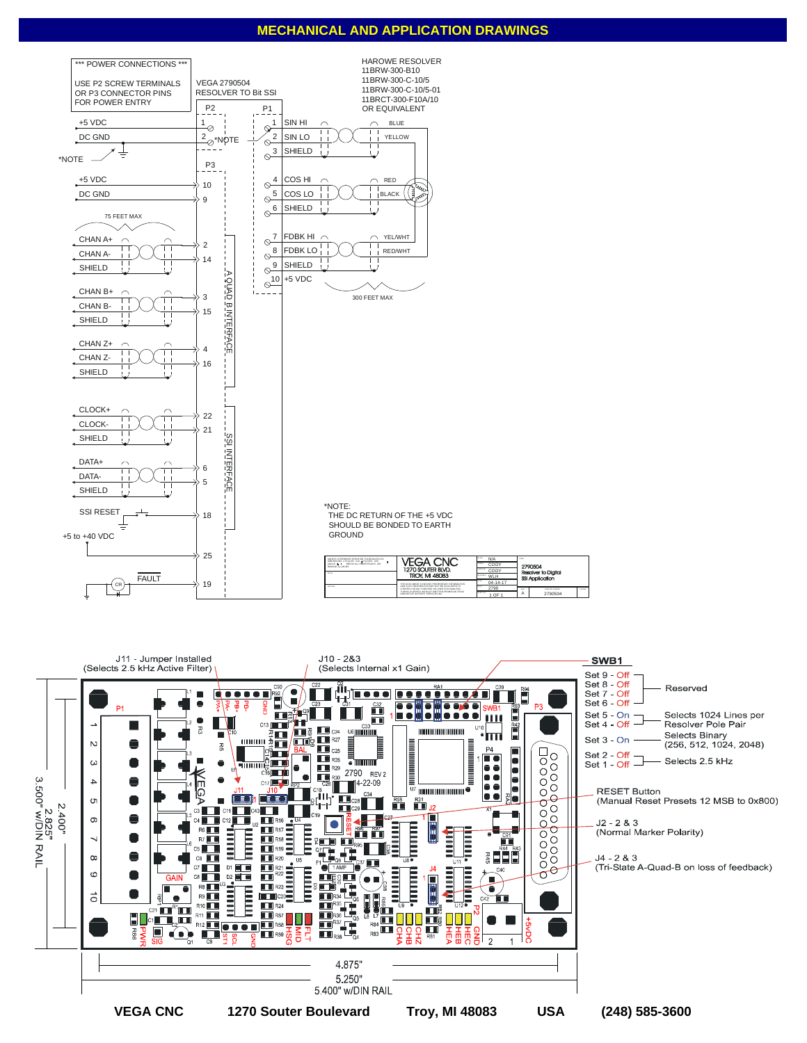## **MECHANICAL AND APPLICATION DRAWINGS**





A 2790504 reaca<br>SSI A ..<br>In to Digital 2790504